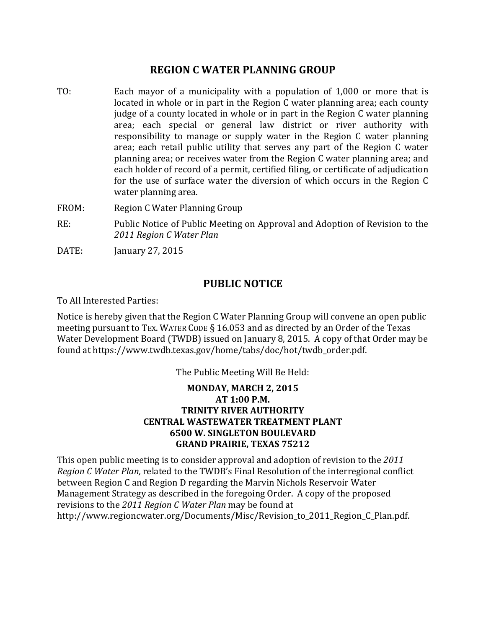## **REGION C WATER PLANNING GROUP**

- TO: Each mayor of a municipality with a population of 1,000 or more that is located in whole or in part in the Region C water planning area; each county judge of a county located in whole or in part in the Region C water planning area; each special or general law district or river authority with responsibility to manage or supply water in the Region C water planning area; each retail public utility that serves any part of the Region C water planning area; or receives water from the Region C water planning area; and each holder of record of a permit, certified filing, or certificate of adjudication for the use of surface water the diversion of which occurs in the Region C water planning area.
- FROM: Region C Water Planning Group
- RE: Public Notice of Public Meeting on Approval and Adoption of Revision to the *2011 Region C Water Plan*
- DATE: January 27, 2015

## **PUBLIC NOTICE**

To All Interested Parties:

Notice is hereby given that the Region C Water Planning Group will convene an open public meeting pursuant to TEX. WATER CODE § 16.053 and as directed by an Order of the Texas Water Development Board (TWDB) issued on January 8, 2015. A copy of that Order may be found at https://www.twdb.texas.gov/home/tabs/doc/hot/twdb\_order.pdf.

The Public Meeting Will Be Held:

## **MONDAY, MARCH 2, 2015 AT 1:00 P.M. TRINITY RIVER AUTHORITY CENTRAL WASTEWATER TREATMENT PLANT 6500 W. SINGLETON BOULEVARD GRAND PRAIRIE, TEXAS 75212**

This open public meeting is to consider approval and adoption of revision to the *2011 Region C Water Plan,* related to the TWDB's Final Resolution of the interregional conflict between Region C and Region D regarding the Marvin Nichols Reservoir Water Management Strategy as described in the foregoing Order. A copy of the proposed revisions to the *2011 Region C Water Plan* may be found at http://www.regioncwater.org/Documents/Misc/Revision\_to\_2011\_Region\_C\_Plan.pdf.